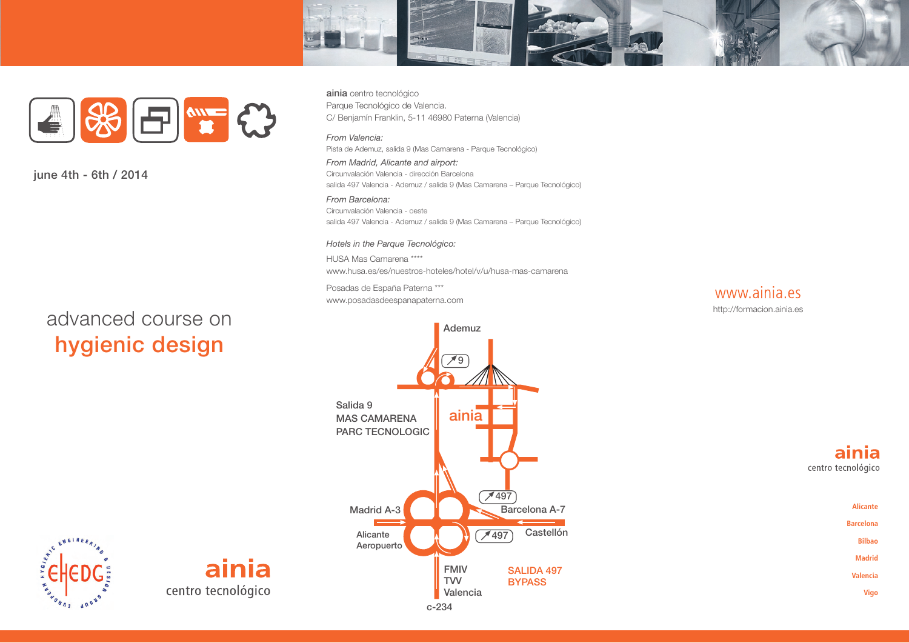



**june 4th - 6th / 2014**

# advanced course on **hygienic design**

**ainia** centro tecnológico Parque Tecnológico de Valencia. C/ Benjamín Franklin, 5-11 46980 Paterna (Valencia)

#### *From Valencia:*

Pista de Ademuz, salida 9 (Mas Camarena - Parque Tecnológico)

*From Madrid, Alicante and airport:* Circunvalación Valencia - dirección Barcelona salida 497 Valencia - Ademuz / salida 9 (Mas Camarena – Parque Tecnológico)

*From Barcelona:* Circunvalación Valencia - oeste salida 497 Valencia - Ademuz / salida 9 (Mas Camarena – Parque Tecnológico)

#### *Hotels in the Parque Tecnológico:*

HUSA Mas Camarena \*\*\*\* www.husa.es/es/nuestros-hoteles/hotel/v/u/husa-mas-camarena

Posadas de España Paterna \*\*\* www.posadasdeespanapaterna.com







**Alicante Barcelona Bilbao Madrid Valencia Vigo**



ainia centro tecnológico